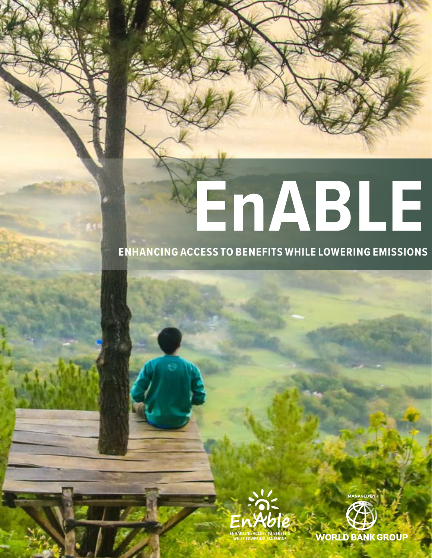# **EnABLE**

# **ENHANCING ACCESS TO BENEFITS WHILE LOWERING EMISSIONS**





**WORLD BANK GROUP**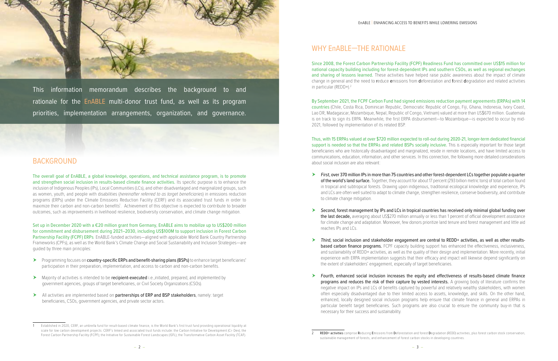

This information memorandum describes the background to and rationale for the EnABLE multi-donor trust fund, as well as its program priorities, implementation arrangements, organization, and governance.



# BACKGROUND

The overall goal of EnABLE, a global knowledge, operations, and technical assistance program, is to promote and strengthen social inclusion in results-based climate finance activities. Its specific purpose is to enhance the inclusion of Indigenous Peoples (IPs), Local Communities (LCs), and other disadvantaged and marginalized groups, such as women, youth, and people with disabilities (*hereinafter referred to as target beneficiaries*) in emissions reduction programs (ERPs) under the Climate Emissions Reduction Facility (CERF) and its associated trust funds in order to maximize their carbon and non-carbon benefits<sup>1</sup>. Achievement of this objective is expected to contribute to broader outcomes, such as improvements in livelihood resilience, biodiversity conservation, and climate change mitigation.

Set up in December 2020 with a €20 million grant from Germany, EnABLE aims to mobilize up to US\$200 million for commitment and disbursement during 2021–2030, including US\$100M to support inclusion in Forest Carbon Partnership Facility (FCPF) ERPs. EnABLE-funded activities—aligned with applicable World Bank Country Partnership Frameworks (CPFs), as well as the World Bank's Climate Change and Social Sustainability and Inclusion Strategies—are guided by three main principles:

- Programming focuses on country-specific ERPs and benefit-sharing plans (BSPs) to enhance target beneficiaries' participation in their preparation, implementation, and access to carbon and non-carbon benefits.
- Majority of activities is intended to be **recipient-executed** i.e., initiated, prepared, and implemented by government agencies, groups of target beneficiaries, or Civil Society Organizations (CSOs).
- All activities are implemented based on partnerships of ERP and BSP stakeholders, namely: target beneficiaries, CSOs, government agencies, and private sector actors.

Since 2008, the Forest Carbon Partnership Facility (FCPF) Readiness Fund has committed over US\$15 million for national capacity building including for forest-dependent IPs and southern CSOs, as well as regional exchanges and sharing of lessons learned. These activities have helped raise public awareness about the impact of climate change in general and the need to reduce emissions from deforestation and forest degradation and related activities in particular (REDD+).<sup>2</sup>

First, over 370 million IPs in more than 75 countries and other forest-dependent LCs together populate a quarter of the world's land surface. Together, they account for about 17 percent (293 billion metric tons) of total carbon found in tropical and subtropical forests. Drawing upon indigenous, traditional ecological knowledge and experience, IPs and LCs are often well suited to adapt to climate change, strengthen resilience, conserve biodiversity, and contribute

Second, forest management by IPs and LCs in tropical countries has received only minimal global funding over the last decade, averaging about US\$270 million annually or less than 1 percent of official development assistance for climate change and adaptation. Moreover, few donors prioritize land tenure and forest management and little aid

# WHY EnABLE—THE RATIONALE

▶ Third, social inclusion and stakeholder engagement are central to REDD+ activities, as well as other resultsbased carbon finance programs. FCPF capacity building support has enhanced the effectiveness, inclusiveness, and sustainability of REDD+ activities, as well as the quality of their design and implementation. More recently, initial experience with ERPA implementation suggests that their efficacy and impact will likewise depend significantly on

Fourth, enhanced social inclusion increases the equity and effectiveness of results-based climate finance programs and reduces the risk of their capture by vested interests. A growing body of literature confirms the negative impact on IPs and LCs of benefits captured by powerful and relatively wealthy stakeholders, with women often especially disadvantaged due to their limited access to assets, knowledge, and skills. On the other hand, enhanced, locally designed social inclusion programs help ensure that climate finance in general and ERPAs in particular benefit target beneficiaries. Such programs are also crucial to ensure the community buy-in that is

REDD+ activities comprise Reducing Emissions from Deforestation and forest Degradation (REDD) activities, plus forest carbon stock conservation,

By September 2021, the FCPF Carbon Fund had signed emissions reduction payment agreements (ERPAs) with 14 countries (Chile, Costa Rica, Dominican Republic, Democratic Republic of Congo, Fiji, Ghana, Indonesia, Ivory Coast, Lao DR, Madagascar, Mozambique, Nepal, Republic of Congo, Vietnam) valued at more than US\$670 million. Guatemala is on track to sign its ERPA. Meanwhile, the first ERPA disbursement—to Mozambique—is expected to occur by mid-2021, followed by implementation of its related BSP.

Thus, with 15 ERPAs valued at over \$720 million expected to roll-out during 2020-21, longer-term dedicated financial support is needed so that the ERPAs and related BSPs socially inclusive. This is especially important for those target beneficiaries who are historically disadvantaged and marginalized, reside in remote locations, and have limited access to communications, education, information, and other services. In this connection, the following more detailed considerations about social inclusion are also relevant:

- to climate change mitigation.
- reaches IPs and LCs.
- the extent of stakeholders' engagement, especially of target beneficiaries.
- necessary for their success and sustainability.

<sup>1</sup> Established in 2020, CERF, an umbrella fund for result-based climate finance, is the World Bank's first trust fund providing operational liquidity at scale for low carbon development projects. CERF's linked and associated trust funds include: the Carbon Initiative for Development (Ci- Dev); the Forest Carbon Partnership Facility (FCPF); the Initiative for Sustainable Forest Landscapes (ISFL); the Transformative Carbon Asset Facility (TCAF).

sustainable management of forests, and enhancement of forest carbon stocks in developing countries.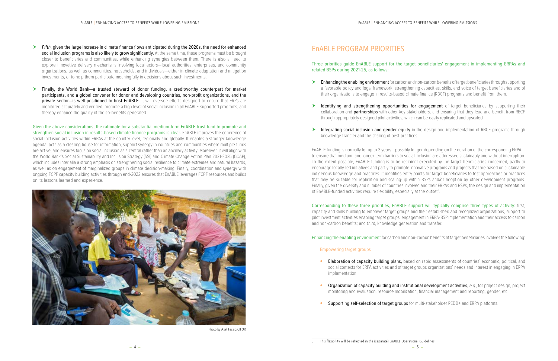- Fifth, given the large increase in climate finance flows anticipated during the 2020s, the need for enhanced social inclusion programs is also likely to grow significantly. At the same time, these programs must be brought closer to beneficiaries and communities, while enhancing synergies between them. There is also a need to explore innovative delivery mechanisms involving local actors—local authorities, enterprises, and community organizations, as well as communities, households, and individuals—either in climate adaptation and mitigation investments, or to help them participate meaningfully in decisions about such investments.
- Finally, the World Bank—a trusted steward of donor funding, a creditworthy counterpart for market participants, and a global convener for donor and developing countries, non-profit organizations, and the private sector-is well positioned to host EnABLE. It will oversee efforts designed to ensure that ERPs are monitored accurately and verified, promote a high level of social inclusion in all EnABLE-supported programs, and thereby enhance the quality of the co-benefits generated.

**Enhancing the enabling environment** for carbon and non-carbon benefits of target beneficiaries through supporting a favorable policy and legal framework, strengthening capacities, skills, and voice of target beneficiaries and of their organizations to engage in results-based climate finance (RBCF) programs and benefit from them.

Identifying and strengthening opportunities for engagement of target beneficiaries by supporting their collaboration and partnerships with other key stakeholders, and ensuring that they lead and benefit from RBCF

Integrating social inclusion and gender equity in the design and implementation of RBCF programs through

EnABLE funding is normally for up to 3 years—possibly longer depending on the duration of the corresponding ERPA to ensure that medium- and longer-term barriers to social inclusion are addressed sustainably and without interruption. To the extent possible, EnABLE funding is to be recipient-executed by the target beneficiaries concerned, partly to encourage locally-led initiatives and partly to promote innovative programs and projects that are based on sustainable indigenous knowledge and practices. It identifies entry points for target beneficiaries to test approaches or practices that may be suitable for replication and scaling-up within BSPs and/or adoption by other development programs. Finally, given the diversity and number of countries involved and their ERPAs and BSPs, the design and implementation of EnABLE-funded activities require flexibility, especially at the outset<sup>3</sup>.

Given the above considerations, the rationale for a substantial medium-term EnABLE trust fund to promote and strengthen social inclusion in results-based climate finance programs is clear. EnABLE improves the coherence of social inclusion activities within ERPAs at the country level, regionally and globally. It enables a stronger knowledge agenda, acts as a clearing house for information, support synergy in countries and communities where multiple funds are active, and ensures focus on social inclusion as a central rather than an ancillary activity. Moreover, it will align with the World Bank's Social Sustainability and Inclusion Strategy (SSI) and Climate Change Action Plan 2021-2025 (CCAP), which includes inter alia a strong emphasis on strengthening social resilience to climate extremes and natural hazards, as well as on engagement of marginalized groups in climate decision-making. Finally, coordination and synergy with ongoing FCPF capacity building activities through end-2022 ensures that EnABLE leverages FCPF resources and builds on its lessons learned and experience.

# EnABLE PROGRAM PRIORITIES

## Three priorities guide EnABLE support for the target beneficiaries' engagement in implementing ERPAs and

- implementation.
- 
- Supporting self-selection of target groups for multi-stakeholder REDD+ and ERPA platforms.

related BSPs during 2021-25, as follows:

- 
- through appropriately designed pilot activities, which can be easily replicated and upscaled.
- knowledge transfer and the sharing of best practices.

Corresponding to these three priorities, EnABLE support will typically comprise three types of activity: first, capacity and skills building to empower target groups and their established and recognized organizations, support to pilot investment activities enabling target groups' engagement in ERPA-BSP implementation and their access to carbon and non-carbon benefits; and third, knowledge generation and transfer.

Enhancing the enabling environment for carbon and non-carbon benefits of target beneficiaries involves the following:

#### Empowering target groups

**•** Elaboration of capacity building plans, based on rapid assessments of countries' economic, political, and social contexts for ERPA activities and of target groups organizations' needs and interest in engaging in ERPA

**•** Organization of capacity building and institutional development activities, *e.g.*, for project design, project monitoring and evaluation, resource mobilization, financial management and reporting, gender, etc.



Photo by Axel Fassio/CIFOR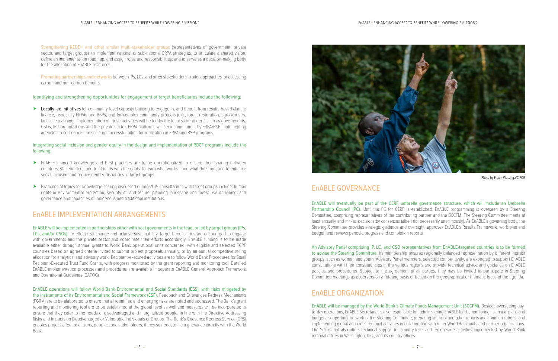Strengthening REDD+ and other similar multi-stakeholder groups (representatives of government, private sector, and target groups): to implement national or sub-national ERPA strategies; to articulate a shared vision, define an implementation roadmap, and assign roles and responsibilities; and to serve as a decision-making body for the allocation of EnABLE resources.

Promoting partnerships and networks between IPs, LCs, and other stakeholders to pilot approaches for accessing carbon and non-carbon benefits.

▶ Locally led initiatives for community-level capacity building to engage in, and benefit from results-based climate finance, especially ERPAs and BSPs, and for complex community projects (e.g., forest restoration, agro-forestry, land-use planning). Implementation of these activities will be led by the local stakeholders, such as governments, CSOs, IPs' organizations and the private sector. ERPA platforms will seek commitment by ERPA/BSP implementing agencies to co-finance and scale up successful pilots for replication in ERPA and BSP programs.

#### Identifying and strengthening opportunities for engagement of target beneficiaries include the following:

### Integrating social inclusion and gender equity in the design and implementation of RBCF programs include the following:

- EnABLE-financed knowledge and best practices are to be operationalized to ensure their sharing between countries, stakeholders, and trust funds with the goals: to learn what works –and what does not; and to enhance social inclusion and reduce gender disparities in target groups.
- Examples of topics for knowledge sharing discussed during 2019 consultations with target groups include: human rights in environmental protection; security of land tenure; planning landscape and forest use or zoning; and governance and capacities of indigenous and traditional institutions.

# EnABLE IMPLEMENTATION ARRANGEMENTS

EnABLE will be implemented in partnerships either with host governments in the lead, or led by target groups (IPs, LCs, and/or CSOs). To effect real change and achieve sustainability, target beneficiaries are encouraged to engage with governments and the private sector and coordinate their efforts accordingly. EnABLE funding is to be made available either through annual grants to World Bank operational units concerned, with eligible and selected FCPF countries based on agreed criteria invited to submit project proposals annually, or by an annual competitive rolling allocation for analytical and advisory work. Recipient-executed activities are to follow World Bank Procedures for Small Recipient-Executed Trust Fund Grants, with progress monitored by the grant reporting and monitoring tool. Detailed EnABLE implementation processes and procedures are available in separate EnABLE General Approach Framework and Operational Guidelines (GAFOG).

EnABLE operations will follow World Bank Environmental and Social Standards (ESS), with risks mitigated by the instruments of its Environmental and Social Framework (ESF). Feedback and Grievances Redress Mechanisms (FGRM) are to be elaborated to ensure that all identified and emerging risks are noted and addressed. The Bank's grant reporting and monitoring tool are to be established at the global level as well and measures will be incorporated to ensure that they cater to the needs of disadvantaged and marginalized people, in line with the Directive Addressing Risks and Impacts on Disadvantaged or Vulnerable Individuals or Groups. The Bank's Grievance Redress Service (GRS) enables project-affected citizens, peoples, and stakeholders, if they so need, to file a grievance directly with the World Bank.



−6 − −7−

# EnABLE GOVERNANCE

EnABLE will eventually be part of the CERF umbrella governance structure, which will include an Umbrella Partnership Council (PC). Until the PC for CERF is established, EnABLE programming is overseen by a Steering Committee, comprising representatives of the contributing partner and the SCCFM. The Steering Committee meets at least annually and makes decisions by consensus (albeit not necessarily unanimously). As EnABLE's governing body, the Steering Committee provides strategic guidance and oversight, approves EnABLE's Results Framework, work plan and budget, and reviews periodic progress and completion reports.

An Advisory Panel comprising IP, LC, and CSO representatives from EnABLE-targeted countries is to be formed to advise the Steering Committee. Its membership ensures regionally balanced representation by different interest groups, such as women and youth. Advisory Panel members, selected competitively, are expected to support EnABLE consultations with their constituencies in the various regions and provide technical advice and guidance on EnABLE policies and procedures. Subject to the agreement of all parties, they may be invited to participate in Steering Committee meetings as observers on a rotating basis or based on the geographical or thematic focus of the agenda.

# EnABLE ORGANIZATION

EnABLE will be managed by the World Bank's Climate Funds Management Unit (SCCFM). Besides overseeing dayto-day operations, EnABLE Secretariat is also responsible for: administering EnABLE funds; monitoring its annual plans and budgets; supporting the work of the Steering Committee; preparing financial and other reports and communications; and implementing global and cross-regional activities in collaboration with other World Bank units and partner organizations. The Secretariat also offers technical support for country-level and region-wide activities implemented by World Bank regional offices in Washington, D.C., and its country offices.

Photo by Fiston Wasanga/CIFOR